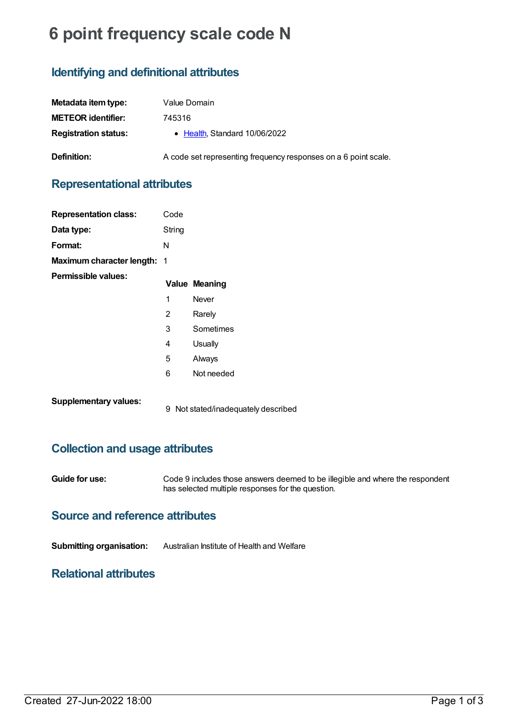# **6 point frequency scale code N**

# **Identifying and definitional attributes**

| Metadata item type:         | Value Domain                                                    |
|-----------------------------|-----------------------------------------------------------------|
| <b>METEOR identifier:</b>   | 745316                                                          |
| <b>Registration status:</b> | • Health, Standard 10/06/2022                                   |
| <b>Definition:</b>          | A code set representing frequency responses on a 6 point scale. |

## **Representational attributes**

| <b>Representation class:</b>       | Code   |                      |
|------------------------------------|--------|----------------------|
| Data type:                         | String |                      |
| Format:                            | N      |                      |
| <b>Maximum character length: 1</b> |        |                      |
| Permissible values:                |        | <b>Value Meaning</b> |
|                                    | 1      | Never                |
|                                    | 2      | Rarely               |
|                                    | 3      | Sometimes            |
|                                    | 4      | Usually              |
|                                    | 5      | Always               |
|                                    | 6      | Not needed           |
|                                    |        |                      |

**Supplementary values:**

9 Not stated/inadequately described

## **Collection and usage attributes**

**Guide for use:** Code 9 includes those answers deemed to be illegible and where the respondent has selected multiple responses for the question.

#### **Source and reference attributes**

**Submitting organisation:** Australian Institute of Health and Welfare

#### **Relational attributes**